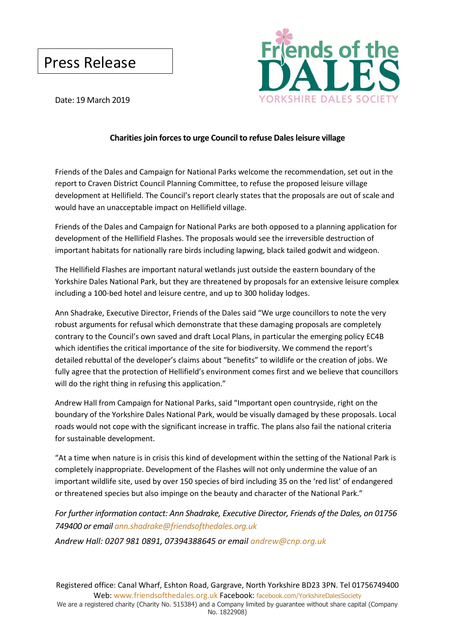## Press Release



Date: 19 March 2019

### **Charities join forces to urge Council to refuse Dales leisure village**

Friends of the Dales and Campaign for National Parks welcome the recommendation, set out in the report to Craven District Council Planning Committee, to refuse the proposed leisure village development at Hellifield. The Council's report clearly states that the proposals are out of scale and would have an unacceptable impact on Hellifield village.

Friends of the Dales and Campaign for National Parks are both opposed to a planning application for development of the Hellifield Flashes. The proposals would see the irreversible destruction of important habitats for nationally rare birds including lapwing, black tailed godwit and widgeon.

The Hellifield Flashes are important natural wetlands just outside the eastern boundary of the Yorkshire Dales National Park, but they are threatened by proposals for an extensive leisure complex including a 100-bed hotel and leisure centre, and up to 300 holiday lodges.

Ann Shadrake, Executive Director, Friends of the Dales said "We urge councillors to note the very robust arguments for refusal which demonstrate that these damaging proposals are completely contrary to the Council's own saved and draft Local Plans, in particular the emerging policy EC4B which identifies the critical importance of the site for biodiversity. We commend the report's detailed rebuttal of the developer's claims about "benefits" to wildlife or the creation of jobs. We fully agree that the protection of Hellifield's environment comes first and we believe that councillors will do the right thing in refusing this application."

Andrew Hall from Campaign for National Parks, said "Important open countryside, right on the boundary of the Yorkshire Dales National Park, would be visually damaged by these proposals. Local roads would not cope with the significant increase in traffic. The plans also fail the national criteria for sustainable development.

"At a time when nature is in crisis this kind of development within the setting of the National Park is completely inappropriate. Development of the Flashes will not only undermine the value of an important wildlife site, used by over 150 species of bird including 35 on the 'red list' of endangered or threatened species but also impinge on the beauty and character of the National Park."

### *For further information contact: Ann Shadrake, Executive Director, Friends of the Dales, on 01756 749400 or email [ann.shadrake@friendsofthedales.org.uk](mailto:ann.shadrake@friendsofthedales.org.uk)*

*Andrew Hall: 0207 981 0891, 07394388645 or email [andrew@cnp.org.uk](mailto:andrew@cnp.org.uk)*

Registered office: Canal Wharf, Eshton Road, Gargrave, North Yorkshire BD23 3PN. Tel 01756749400 Web: www.friendsofthedales.org.uk Facebook: facebook.com/YorkshireDalesSociety

We are a registered charity (Charity No. 515384) and a Company limited by guarantee without share capital (Company No. 1822908)